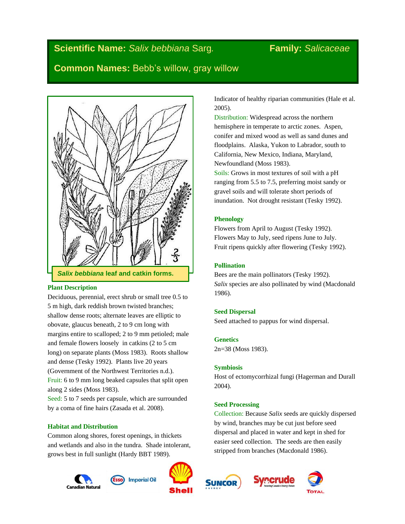# **Scientific Name:** *Salix bebbiana* Sarg*.* **Family:** *Salicaceae*

**Common Names:** Bebb's willow, gray willow



## **Plant Description**

Deciduous, perennial, erect shrub or small tree 0.5 to 5 m high, dark reddish brown twisted branches; shallow dense roots; alternate leaves are elliptic to obovate, glaucus beneath, 2 to 9 cm long with margins entire to scalloped; 2 to 9 mm petioled; male and female flowers loosely in catkins (2 to 5 cm long) on separate plants (Moss 1983). Roots shallow and dense (Tesky 1992). Plants live 20 years (Government of the Northwest Territories n.d.). Fruit: 6 to 9 mm long beaked capsules that split open along 2 sides (Moss 1983).

Seed: 5 to 7 seeds per capsule, which are surrounded by a coma of fine hairs (Zasada et al. 2008).

## **Habitat and Distribution**

Common along shores, forest openings, in thickets and wetlands and also in the tundra. Shade intolerant, grows best in full sunlight (Hardy BBT 1989).







Indicator of healthy riparian communities (Hale et al. 2005).

Distribution: Widespread across the northern hemisphere in temperate to arctic zones. Aspen, conifer and mixed wood as well as sand dunes and floodplains. Alaska, Yukon to Labrador, south to California, New Mexico, Indiana, Maryland, Newfoundland (Moss 1983).

Soils: Grows in most textures of soil with a pH ranging from 5.5 to 7.5, preferring moist sandy or gravel soils and will tolerate short periods of inundation. Not drought resistant (Tesky 1992).

## **Phenology**

Flowers from April to August (Tesky 1992). Flowers May to July, seed ripens June to July. Fruit ripens quickly after flowering (Tesky 1992).

## **Pollination**

Bees are the main pollinators (Tesky 1992). *Salix* species are also pollinated by wind (Macdonald 1986).

## **Seed Dispersal**

Seed attached to pappus for wind dispersal.

## **Genetics**

2n=38 (Moss 1983).

## **Symbiosis**

Host of ectomycorrhizal fungi (Hagerman and Durall 2004).

## **Seed Processing**

Collection: Because *Salix* seeds are quickly dispersed by wind, branches may be cut just before seed dispersal and placed in water and kept in shed for easier seed collection. The seeds are then easily stripped from branches (Macdonald 1986).





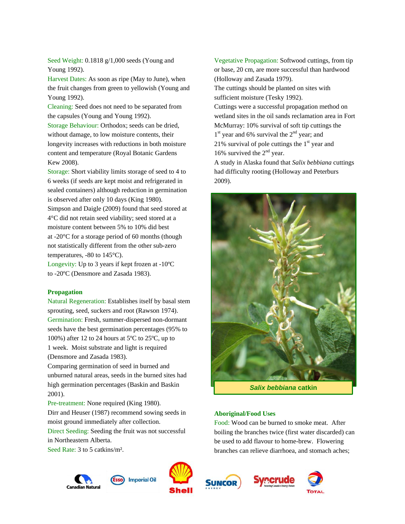Seed Weight: 0.1818 g/1,000 seeds (Young and Young 1992).

Harvest Dates: As soon as ripe (May to June), when the fruit changes from green to yellowish (Young and Young 1992).

Cleaning: Seed does not need to be separated from the capsules (Young and Young 1992).

Storage Behaviour: Orthodox; seeds can be dried, without damage, to low moisture contents, their longevity increases with reductions in both moisture content and temperature (Royal Botanic Gardens Kew 2008).

Storage: Short viability limits storage of seed to 4 to 6 weeks (if seeds are kept moist and refrigerated in sealed containers) although reduction in germination is observed after only 10 days (King 1980).

Simpson and Daigle (2009) found that seed stored at 4°C did not retain seed viability; seed stored at a moisture content between 5% to 10% did best at -20°C for a storage period of 60 months (though not statistically different from the other sub-zero temperatures, -80 to 145°C).

Longevity: Up to 3 years if kept frozen at -10ºC to -20ºC (Densmore and Zasada 1983).

#### **Propagation**

Natural Regeneration: Establishes itself by basal stem sprouting, seed, suckers and root (Rawson 1974). Germination: Fresh, summer-dispersed non-dormant seeds have the best germination percentages (95% to 100%) after 12 to 24 hours at 5ºC to 25ºC, up to 1 week. Moist substrate and light is required (Densmore and Zasada 1983).

Comparing germination of seed in burned and unburned natural areas, seeds in the burned sites had high germination percentages (Baskin and Baskin 2001).

Pre-treatment: None required (King 1980). Dirr and Heuser (1987) recommend sowing seeds in moist ground immediately after collection.

Direct Seeding: Seeding the fruit was not successful in Northeastern Alberta.

Seed Rate: 3 to 5 catkins/m².

Vegetative Propagation: Softwood cuttings, from tip or base, 20 cm, are more successful than hardwood (Holloway and Zasada 1979).

The cuttings should be planted on sites with sufficient moisture (Tesky 1992).

Cuttings were a successful propagation method on wetland sites in the oil sands reclamation area in Fort McMurray: 10% survival of soft tip cuttings the  $1<sup>st</sup>$  year and 6% survival the  $2<sup>nd</sup>$  year; and 21% survival of pole cuttings the  $1<sup>st</sup>$  year and 16% survived the  $2<sup>nd</sup>$  year.

A study in Alaska found that *Salix bebbiana* cuttings had difficulty rooting (Holloway and Peterburs 2009).



*Salix bebbiana* **catkin**

#### **Aboriginal/Food Uses**

Food: Wood can be burned to smoke meat. After boiling the branches twice (first water discarded) can be used to add flavour to home-brew. Flowering branches can relieve diarrhoea, and stomach aches;









**Imperial Oil** 

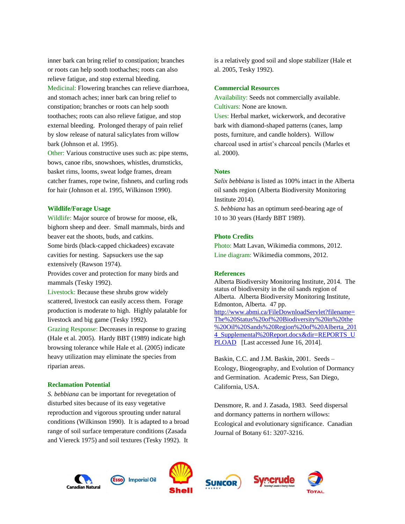inner bark can bring relief to constipation; branches or roots can help sooth toothaches; roots can also relieve fatigue, and stop external bleeding. Medicinal: Flowering branches can relieve diarrhoea, and stomach aches; inner bark can bring relief to constipation; branches or roots can help sooth toothaches; roots can also relieve fatigue, and stop external bleeding. Prolonged therapy of pain relief by slow release of natural salicylates from willow bark (Johnson et al. 1995).

Other: Various constructive uses such as: pipe stems, bows, canoe ribs, snowshoes, whistles, drumsticks, basket rims, looms, sweat lodge frames, dream catcher frames, rope twine, fishnets, and curling rods for hair (Johnson et al. 1995, Wilkinson 1990).

#### **Wildlife/Forage Usage**

Wildlife: Major source of browse for moose, elk, bighorn sheep and deer. Small mammals, birds and beaver eat the shoots, buds, and catkins. Some birds (black-capped chickadees) excavate

cavities for nesting. Sapsuckers use the sap extensively (Rawson 1974).

Provides cover and protection for many birds and mammals (Tesky 1992).

Livestock: Because these shrubs grow widely scattered, livestock can easily access them. Forage production is moderate to high. Highly palatable for livestock and big game (Tesky 1992).

Grazing Response: Decreases in response to grazing (Hale et al. 2005). Hardy BBT (1989) indicate high browsing tolerance while Hale et al. (2005) indicate heavy utilization may eliminate the species from riparian areas.

#### **Reclamation Potential**

*S. bebbiana* can be important for revegetation of disturbed sites because of its easy vegetative reproduction and vigorous sprouting under natural conditions (Wilkinson 1990). It is adapted to a broad range of soil surface temperature conditions (Zasada and Viereck 1975) and soil textures (Tesky 1992). It

is a relatively good soil and slope stabilizer (Hale et al. 2005, Tesky 1992).

#### **Commercial Resources**

Availability: Seeds not commercially available. Cultivars: None are known.

Uses: Herbal market, wickerwork, and decorative bark with diamond-shaped patterns (canes, lamp posts, furniture, and candle holders). Willow charcoal used in artist's charcoal pencils (Marles et al. 2000).

### **Notes**

*Salix bebbiana* is listed as 100% intact in the Alberta oil sands region (Alberta Biodiversity Monitoring Institute 2014).

*S. bebbiana* has an optimum seed-bearing age of 10 to 30 years (Hardy BBT 1989).

#### **Photo Credits**

Photo: Matt Lavan, Wikimedia commons, 2012. Line diagram: Wikimedia commons, 2012.

#### **References**

Alberta Biodiversity Monitoring Institute, 2014. The status of biodiversity in the oil sands region of Alberta. Alberta Biodiversity Monitoring Institute, Edmonton, Alberta. 47 pp. [http://www.abmi.ca/FileDownloadServlet?filename=](http://www.abmi.ca/FileDownloadServlet?filename=The%20Status%20of%20Biodiversity%20in%20the%20Oil%20Sands%20Region%20of%20Alberta_2014_Supplemental%20Report.docx&dir=REPORTS_UPLOAD) [The%20Status%20of%20Biodiversity%20in%20the](http://www.abmi.ca/FileDownloadServlet?filename=The%20Status%20of%20Biodiversity%20in%20the%20Oil%20Sands%20Region%20of%20Alberta_2014_Supplemental%20Report.docx&dir=REPORTS_UPLOAD) [%20Oil%20Sands%20Region%20of%20Alberta\\_201](http://www.abmi.ca/FileDownloadServlet?filename=The%20Status%20of%20Biodiversity%20in%20the%20Oil%20Sands%20Region%20of%20Alberta_2014_Supplemental%20Report.docx&dir=REPORTS_UPLOAD) 4 Supplemental%20Report.docx&dir=REPORTS\_U [PLOAD](http://www.abmi.ca/FileDownloadServlet?filename=The%20Status%20of%20Biodiversity%20in%20the%20Oil%20Sands%20Region%20of%20Alberta_2014_Supplemental%20Report.docx&dir=REPORTS_UPLOAD) [Last accessed June 16, 2014].

Baskin, C.C. and J.M. Baskin, 2001. Seeds – Ecology, Biogeography, and Evolution of Dormancy and Germination. Academic Press, San Diego, California, USA.

Densmore, R. and J. Zasada, 1983. Seed dispersal and dormancy patterns in northern willows: Ecological and evolutionary significance. Canadian Journal of Botany 61: 3207-3216.









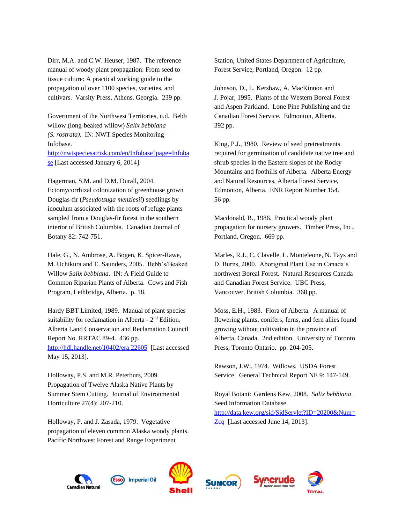Dirr, M.A. and C.W. Heuser, 1987. The reference manual of woody plant propagation: From seed to tissue culture: A practical working guide to the propagation of over 1100 species, varieties, and cultivars. Varsity Press, Athens, Georgia. 239 pp.

Government of the Northwest Territories, n.d. Bebb willow (long-beaked willow) *Salix bebbiana (S. rostrata)*. IN: NWT Species Monitoring – Infobase.

[http://nwtspeciesatrisk.com/en/Infobase?page=Infoba](http://nwtspeciesatrisk.com/en/Infobase?page=Infobase) [se](http://nwtspeciesatrisk.com/en/Infobase?page=Infobase) [Last accessed January 6, 2014].

Hagerman, S.M. and D.M. Durall, 2004.

Ectomycorrhizal colonization of greenhouse grown Douglas-fir (*Pseudotsuga menziesii*) seedlings by inoculum associated with the roots of refuge plants sampled from a Douglas-fir forest in the southern interior of British Columbia. Canadian Journal of Botany 82: 742-751.

Hale, G., N. Ambrose, A. Bogen, K. Spicer-Rawe, M. Uchikura and E. Saunders, 2005. Bebb's/Beaked Willow *Salix bebbiana*. IN: A Field Guide to Common Riparian Plants of Alberta. Cows and Fish Program, Lethbridge, Alberta. p. 18.

Hardy BBT Limited, 1989. Manual of plant species suitability for reclamation in Alberta -  $2<sup>nd</sup>$  Edition. Alberta Land Conservation and Reclamation Council Report No. RRTAC 89-4. 436 pp. <http://hdl.handle.net/10402/era.22605>[Last accessed May 15, 2013].

Holloway, P.S. and M.R. Peterburs, 2009. Propagation of Twelve Alaska Native Plants by Summer Stem Cutting. Journal of Environmental Horticulture 27(4): 207-210.

Holloway, P. and J. Zasada, 1979. Vegetative propagation of eleven common Alaska woody plants. Pacific Northwest Forest and Range Experiment

Station, United States Department of Agriculture, Forest Service, Portland, Oregon. 12 pp.

Johnson, D., L. Kershaw, A. MacKinnon and J. Pojar, 1995. Plants of the Western Boreal Forest and Aspen Parkland. Lone Pine Publishing and the Canadian Forest Service. Edmonton, Alberta. 392 pp.

King, P.J., 1980. Review of seed pretreatments required for germination of candidate native tree and shrub species in the Eastern slopes of the Rocky Mountains and foothills of Alberta. Alberta Energy and Natural Resources, Alberta Forest Service, Edmonton, Alberta. ENR Report Number 154. 56 pp.

Macdonald, B., 1986. Practical woody plant propagation for nursery growers. Timber Press, Inc., Portland, Oregon. 669 pp.

Marles, R.J., C. Clavelle, L. Monteleone, N. Tays and D. Burns, 2000. Aboriginal Plant Use in Canada's northwest Boreal Forest. Natural Resources Canada and Canadian Forest Service. UBC Press, Vancouver, British Columbia. 368 pp.

Moss, E.H., 1983. Flora of Alberta. A manual of flowering plants, conifers, ferns, and fern allies found growing without cultivation in the province of Alberta, Canada. 2nd edition. University of Toronto Press, Toronto Ontario. pp. 204-205.

Rawson, J.W., 1974. Willows. USDA Forest Service. General Technical Report NE 9: 147-149.

Royal Botanic Gardens Kew, 2008. *Salix bebbiana*. Seed Information Database. [http://data.kew.org/sid/SidServlet?ID=20200&Num=](http://data.kew.org/sid/SidServlet?ID=20200&Num=Zcq) [Zcq](http://data.kew.org/sid/SidServlet?ID=20200&Num=Zcq) [Last accessed June 14, 2013].